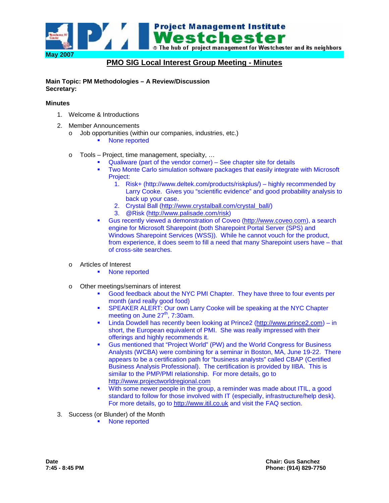

# **PMO SIG Local Interest Group Meeting - Minutes**

#### **Main Topic: PM Methodologies – A Review/Discussion Secretary:**

### **Minutes**

- 1. Welcome & Introductions
- 2. Member Announcements
	- o Job opportunities (within our companies, industries, etc.)
		- None reported
	- o Tools Project, time management, specialty, …
		- Qualiware (part of the vendor corner) See chapter site for details
		- Two Monte Carlo simulation software packages that easily integrate with Microsoft Project:
			- 1. Risk+ (http://www.deltek.com/products/riskplus/) highly recommended by
				- Larry Cooke. Gives you "scientific evidence" and good probability analysis to back up your case.
			- 2. Crystal Ball (http://www.crystalball.com/crystal\_ball/)
			- 3. @Risk (http://www.palisade.com/risk)
		- Gus recently viewed a demonstration of Coveo (http://www.coveo.com), a search engine for Microsoft Sharepoint (both Sharepoint Portal Server (SPS) and Windows Sharepoint Services (WSS)). While he cannot vouch for the product, from experience, it does seem to fill a need that many Sharepoint users have – that of cross-site searches.
	- o Articles of Interest
		- None reported
	- o Other meetings/seminars of interest
		- Good feedback about the NYC PMI Chapter. They have three to four events per month (and really good food)
		- SPEAKER ALERT: Our own Larry Cooke will be speaking at the NYC Chapter meeting on June 27<sup>th</sup>, 7:30am.
		- Linda Dowdell has recently been looking at Prince2 (http://www.prince2.com) in short, the European equivalent of PMI. She was really impressed with their offerings and highly recommends it.
		- Gus mentioned that "Project World" (PW) and the World Congress for Business Analysts (WCBA) were combining for a seminar in Boston, MA, June 19-22. There appears to be a certification path for "business analysts" called CBAP (Certified Business Analysis Professional). The certification is provided by IIBA. This is similar to the PMP/PMI relationship. For more details, go to http://www.projectworldregional.com
		- With some newer people in the group, a reminder was made about ITIL, a good standard to follow for those involved with IT (especially, infrastructure/help desk). For more details, go to http://www.itil.co.uk and visit the FAQ section.
- 3. Success (or Blunder) of the Month
	- None reported